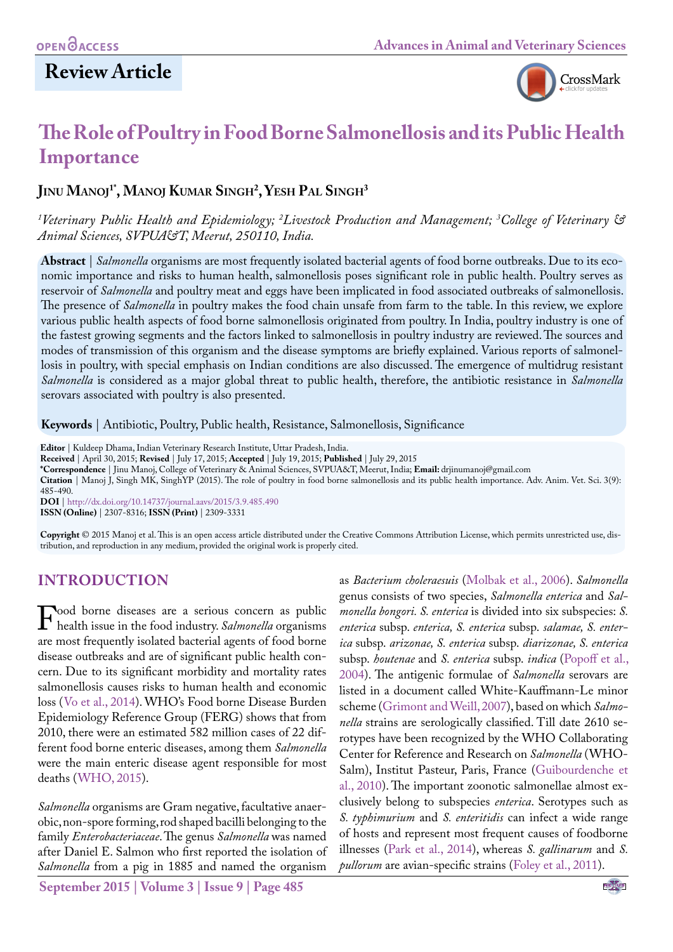# **Review Article**



# **The Role of Poultry in Food Borne Salmonellosis and its Public Health Importance**

## **Jinu Manoj 1\*, Manoj Kumar Singh2 , Yesh Pal Singh3**

*1 Veterinary Public Health and Epidemiology; 2 Livestock Production and Management; 3 College of Veterinary & Animal Sciences, SVPUA&T, Meerut, 250110, India.* 

**Abstract** | *Salmonella* organisms are most frequently isolated bacterial agents of food borne outbreaks. Due to its economic importance and risks to human health, salmonellosis poses significant role in public health. Poultry serves as reservoir of *Salmonella* and poultry meat and eggs have been implicated in food associated outbreaks of salmonellosis. The presence of *Salmonella* in poultry makes the food chain unsafe from farm to the table. In this review, we explore various public health aspects of food borne salmonellosis originated from poultry. In India, poultry industry is one of the fastest growing segments and the factors linked to salmonellosis in poultry industry are reviewed. The sources and modes of transmission of this organism and the disease symptoms are briefly explained. Various reports of salmonellosis in poultry, with special emphasis on Indian conditions are also discussed. The emergence of multidrug resistant *Salmonella* is considered as a major global threat to public health, therefore, the antibiotic resistance in *Salmonella* serovars associated with poultry is also presented.

**Keywords** | Antibiotic, Poultry, Public health, Resistance, Salmonellosis, Significance

**Editor** | Kuldeep Dhama, Indian Veterinary Research Institute, Uttar Pradesh, India.

**Received** | April 30, 2015; **Revised** | July 17, 2015; **Accepted** | July 19, 2015; **Published** | July 29, 2015

**\*Correspondence** | Jinu Manoj, College of Veterinary & Animal Sciences, SVPUA&T, Meerut, India; **Email:** drjinumanoj@gmail.com

**Citation** | Manoj J, Singh MK, SinghYP (2015). The role of poultry in food borne salmonellosis and its public health importance. Adv. Anim. Vet. Sci. 3(9): 485-490.

**DOI** | <http://dx.doi.org/10.14737/journal.aavs/2015/3.9.485.490> **ISSN (Online)** | 2307-8316; **ISSN (Print)** | 2309-3331

**Copyright** © 2015 Manoj et al. This is an open access article distributed under the Creative Commons Attribution License, which permits unrestricted use, distribution, and reproduction in any medium, provided the original work is properly cited.

## **INTRODUCTION**

Food borne diseases are a serious concern as public<br>health issue in the food industry. *Salmonella* organisms<br>are most frequently isolated bacterial agents of food borne are most frequently isolated bacterial agents of food borne disease outbreaks and are of significant public health concern. Due to its significant morbidity and mortality rates salmonellosis causes risks to human health and economic loss ([Vo et al., 2014\)](#page-5-0). WHO's Food borne Disease Burden Epidemiology Reference Group (FERG) shows that from 2010, there were an estimated 582 million cases of 22 different food borne enteric diseases, among them *Salmonella* were the main enteric disease agent responsible for most deaths ([WHO, 2015](#page-5-1)).

*Salmonella* organisms are Gram negative, facultative anaerobic, non-spore forming, rod shaped bacilli belonging to the family *Enterobacteriaceae*. The genus *Salmonella* was named after Daniel E. Salmon who first reported the isolation of *Salmonella* from a pig in 1885 and named the organism

**September 2015 | Volume 3 | Issue 9 | Page 485**

as *Bacterium choleraesuis* ([Molbak et al., 2006\)](#page-4-0). *Salmonella* genus consists of two species, *Salmonella enterica* and *Salmonella bongori. S. enterica* is divided into six subspecies: *S. enterica* subsp. *enterica, S. enterica* subsp. *salamae, S. enterica* subsp. *arizonae, S. enterica* subsp. *diarizonae, S. enterica*  subsp. *houtenae* and *S. enterica* subsp. *indica* [\(Popoff et al.,](#page-4-1)  [2004](#page-4-1)). The antigenic formulae of *Salmonella* serovars are listed in a document called White-Kauffmann-Le minor scheme ([Grimont and Weill, 2007](#page-3-0)), based on which *Salmonella* strains are serologically classified. Till date 2610 serotypes have been recognized by the WHO Collaborating Center for Reference and Research on *Salmonella* (WHO-Salm), Institut Pasteur, Paris, France ([Guibourdenche et](#page-3-1)  [al., 2010\)](#page-3-1). The important zoonotic salmonellae almost exclusively belong to subspecies *enterica*. Serotypes such as *S. typhimurium* and *S. enteritidis* can infect a wide range of hosts and represent most frequent causes of foodborne illnesses [\(Park et al., 2014\)](#page-4-2), whereas *S. gallinarum* and *S. pullorum* are avian-specific strains [\(Foley et al., 2011\)](#page-3-2).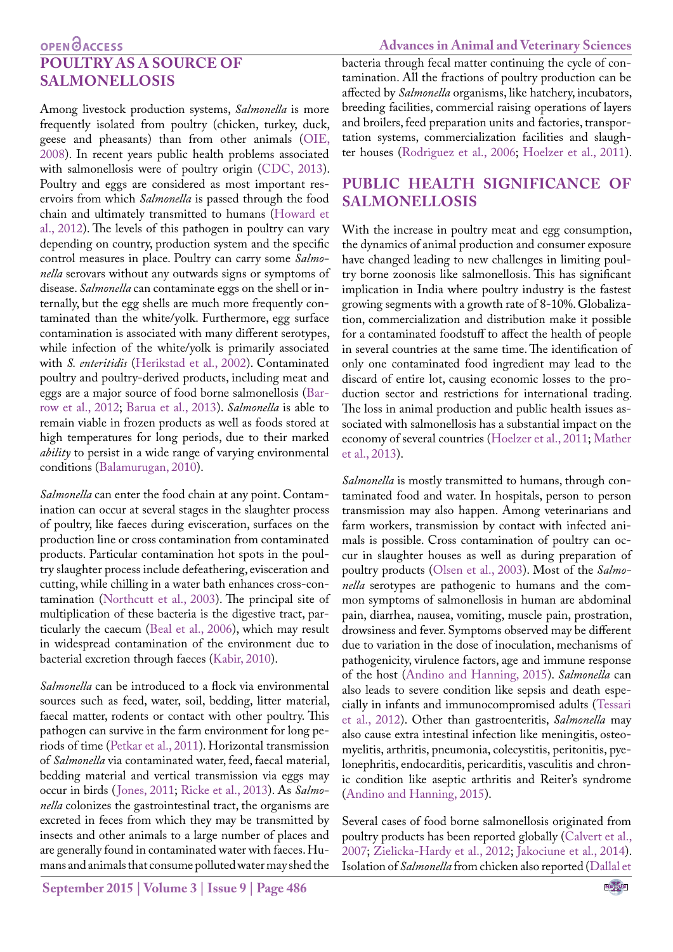## **OPEN**OACCESS **POULTRY AS A SOURCE OF SALMONELLOSIS**

Among livestock production systems, *Salmonella* is more frequently isolated from poultry (chicken, turkey, duck, geese and pheasants) than from other animals [\(OIE,](#page-4-3) [2008](#page-4-3)). In recent years public health problems associated with salmonellosis were of poultry origin ([CDC, 2013\)](#page-3-3). Poultry and eggs are considered as most important reservoirs from which *Salmonella* is passed through the food chain and ultimately transmitted to humans (Howard et al., 2012). The levels of this pathogen in poultry can vary depending on country, production system and the specific control measures in place. Poultry can carry some *Salmonella* serovars without any outwards signs or symptoms of disease. *Salmonella* can contaminate eggs on the shell or internally, but the egg shells are much more frequently contaminated than the white/yolk. Furthermore, egg surface contamination is associated with many different serotypes, while infection of the white/yolk is primarily associated with *S. enteritidis* ([Herikstad et al., 2002\)](#page-3-4). Contaminated poultry and poultry-derived products, including meat and eggs are a major source of food borne salmonellosis [\(Bar](#page-3-5)[row et al., 2012;](#page-3-5) [Barua et al., 2013\)](#page-3-6). *Salmonella* is able to remain viable in frozen products as well as foods stored at high temperatures for long periods, due to their marked *ability* to persist in a wide range of varying environmental conditions ([Balamurugan, 2010\)](#page-3-7).

*Salmonella* can enter the food chain at any point. Contamination can occur at several stages in the slaughter process of poultry, like faeces during evisceration, surfaces on the production line or cross contamination from contaminated products. Particular contamination hot spots in the poultry slaughter process include defeathering, evisceration and cutting, while chilling in a water bath enhances cross-contamination [\(Northcutt et al., 2003](#page-4-4)). The principal site of multiplication of these bacteria is the digestive tract, particularly the caecum ([Beal et al., 2006](#page-3-8)), which may result in widespread contamination of the environment due to bacterial excretion through faeces ([Kabir, 2010\)](#page-4-5).

*Salmonella* can be introduced to a flock via environmental sources such as feed, water, soil, bedding, litter material, faecal matter, rodents or contact with other poultry. This pathogen can survive in the farm environment for long periods of time [\(Petkar et al., 2011\)](#page-4-6). Horizontal transmission of *Salmonella* via contaminated water, feed, faecal material, bedding material and vertical transmission via eggs may occur in birds ([Jones, 2011](#page-4-7); [Ricke et al., 2013\)](#page-4-8). As *Salmonella* colonizes the gastrointestinal tract, the organisms are excreted in feces from which they may be transmitted by insects and other animals to a large number of places and are generally found in contaminated water with faeces. Humans and animals that consume polluted water may shed the

bacteria through fecal matter continuing the cycle of contamination. All the fractions of poultry production can be affected by *Salmonella* organisms, like hatchery, incubators, breeding facilities, commercial raising operations of layers and broilers, feed preparation units and factories, transportation systems, commercialization facilities and slaughter houses ([Rodriguez et al., 2006](#page-4-9); [Hoelzer et al., 2011\)](#page-3-9).

## **PUBLIC HEALTH SIGNIFICANCE OF SALMONELLOSIS**

With the increase in poultry meat and egg consumption, the dynamics of animal production and consumer exposure have changed leading to new challenges in limiting poultry borne zoonosis like salmonellosis. This has significant implication in India where poultry industry is the fastest growing segments with a growth rate of 8-10%. Globalization, commercialization and distribution make it possible for a contaminated foodstuff to affect the health of people in several countries at the same time. The identification of only one contaminated food ingredient may lead to the discard of entire lot, causing economic losses to the production sector and restrictions for international trading. The loss in animal production and public health issues associated with salmonellosis has a substantial impact on the economy of several countries [\(Hoelzer et al., 2011](#page-3-9); [Mather](#page-4-10)  [et al., 2013\)](#page-4-10).

*Salmonella* is mostly transmitted to humans, through contaminated food and water. In hospitals, person to person transmission may also happen. Among veterinarians and farm workers, transmission by contact with infected animals is possible. Cross contamination of poultry can occur in slaughter houses as well as during preparation of poultry products [\(Olsen et al., 2003](#page-4-11)). Most of the *Salmonella* serotypes are pathogenic to humans and the common symptoms of salmonellosis in human are abdominal pain, diarrhea, nausea, vomiting, muscle pain, prostration, drowsiness and fever. Symptoms observed may be different due to variation in the dose of inoculation, mechanisms of pathogenicity, virulence factors, age and immune response of the host [\(Andino and Hanning, 2015](#page-3-10)). *Salmonella* can also leads to severe condition like sepsis and death especially in infants and immunocompromised adults ([Tessari](#page-5-2)  [et al., 2012](#page-5-2)). Other than gastroenteritis, *Salmonella* may also cause extra intestinal infection like meningitis, osteomyelitis, arthritis, pneumonia, colecystitis, peritonitis, pyelonephritis, endocarditis, pericarditis, vasculitis and chronic condition like aseptic arthritis and Reiter's syndrome [\(Andino and Hanning, 2015\)](#page-3-10).

Several cases of food borne salmonellosis originated from poultry products has been reported globally ([Calvert et al.,](#page-3-11)  [2007;](#page-3-11) [Zielicka-Hardy et al., 2012;](#page-5-3) [Jakociune et al., 2014\)](#page-4-12). Isolation of *Salmonella* from chicken also reported ([Dallal et](#page-3-12)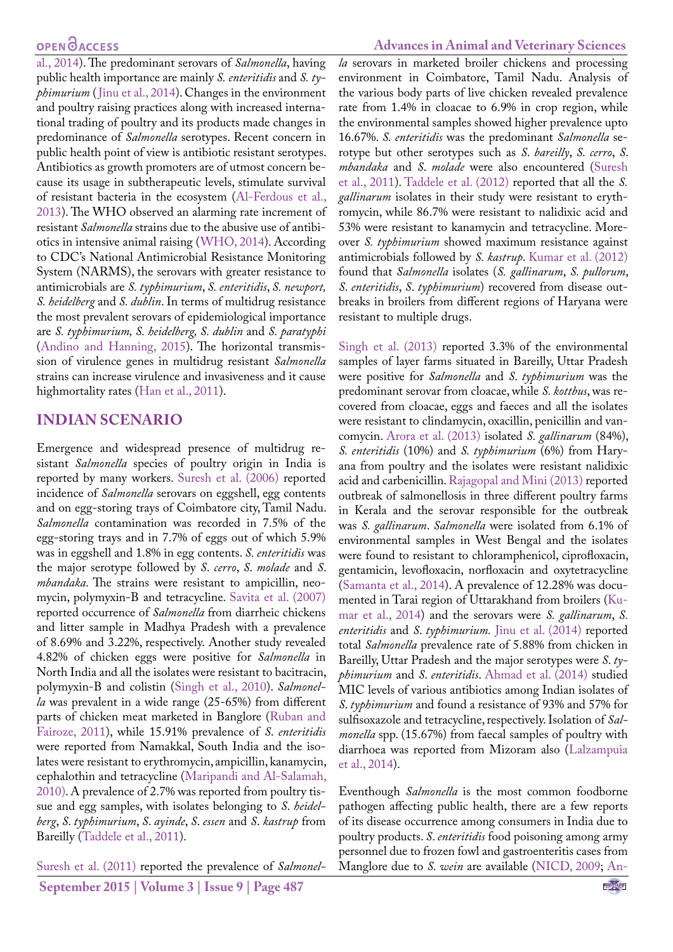[al., 2014\)](#page-3-12). The predominant serovars of *Salmonella*, having public health importance are mainly *S. enteritidis* and *S. typhimurium* ([Jinu et al., 2014](#page-4-13)). Changes in the environment and poultry raising practices along with increased international trading of poultry and its products made changes in predominance of *Salmonella* serotypes. Recent concern in public health point of view is antibiotic resistant serotypes. Antibiotics as growth promoters are of utmost concern because its usage in subtherapeutic levels, stimulate survival of resistant bacteria in the ecosystem ([Al-Ferdous et al.,](#page-3-13) [2013](#page-3-13)). The WHO observed an alarming rate increment of resistant *Salmonella* strains due to the abusive use of antibiotics in intensive animal raising ([WHO, 2014\)](#page-5-4). According to CDC's National Antimicrobial Resistance Monitoring System (NARMS), the serovars with greater resistance to antimicrobials are *S. typhimurium*, *S. enteritidis*, *S. newport, S. heidelberg* and *S. dublin*. In terms of multidrug resistance the most prevalent serovars of epidemiological importance are *S. typhimurium, S. heidelberg, S. dublin* and *S. paratyphi* ([Andino and Hanning, 2015\)](#page-3-10). The horizontal transmission of virulence genes in multidrug resistant *Salmonella*  strains can increase virulence and invasiveness and it cause highmortality rates ([Han et al., 2011\)](#page-3-14).

### **INDIAN SCENARIO**

Emergence and widespread presence of multidrug resistant *Salmonella* species of poultry origin in India is reported by many workers. [Suresh et al. \(2006\)](#page-4-14) reported incidence of *Salmonella* serovars on eggshell, egg contents and on egg-storing trays of Coimbatore city, Tamil Nadu. *Salmonella* contamination was recorded in 7.5% of the egg-storing trays and in 7.7% of eggs out of which 5.9% was in eggshell and 1.8% in egg contents. *S. enteritidis* was the major serotype followed by *S*. *cerro*, *S*. *molade* and *S*. *mbandaka*. The strains were resistant to ampicillin, neomycin, polymyxin-B and tetracycline. [Savita et al. \(2007\)](#page-4-15) reported occurrence of *Salmonella* from diarrheic chickens and litter sample in Madhya Pradesh with a prevalence of 8.69% and 3.22%, respectively. Another study revealed 4.82% of chicken eggs were positive for *Salmonella* in North India and all the isolates were resistant to bacitracin, polymyxin-B and colistin ([Singh et al., 2010\)](#page-4-16). *Salmonella* was prevalent in a wide range (25-65%) from different parts of chicken meat marketed in Banglore ([Ruban and](#page-4-17) [Fairoze, 2011\)](#page-4-17), while 15.91% prevalence of *S*. *enteritidis* were reported from Namakkal, South India and the isolates were resistant to erythromycin, ampicillin, kanamycin, cephalothin and tetracycline ([Maripandi and Al-Salamah,](#page-4-18) [2010\).](#page-4-18) A prevalence of 2.7% was reported from poultry tissue and egg samples, with isolates belonging to *S*. *heidelberg*, *S*. *typhimurium*, *S*. *ayinde*, *S*. *essen* and *S*. *kastrup* from Bareilly ([Taddele et al., 2011\)](#page-4-19).

[Suresh et al. \(2011\)](#page-4-20) reported the prevalence of *Salmonel-*

#### **Advances in Animal and Veterinary Sciences**

*la* serovars in marketed broiler chickens and processing environment in Coimbatore, Tamil Nadu. Analysis of the various body parts of live chicken revealed prevalence rate from 1.4% in cloacae to 6.9% in crop region, while the environmental samples showed higher prevalence upto 16.67%. *S. enteritidis* was the predominant *Salmonella* serotype but other serotypes such as *S*. *bareilly*, *S. cerro*, *S*. *mbandaka* and *S*. *molade* were also encountered ([Suresh](#page-4-20)  [et al., 2011](#page-4-20)). [Taddele et al. \(2012\)](#page-5-5) reported that all the *S. gallinarum* isolates in their study were resistant to erythromycin, while 86.7% were resistant to nalidixic acid and 53% were resistant to kanamycin and tetracycline. Moreover *S. typhimurium* showed maximum resistance against antimicrobials followed by *S. kastrup*. [Kumar et al. \(2012\)](#page-4-21)  found that *Salmonella* isolates (*S. gallinarum*, *S. pullorum*, *S*. *enteritidis*, *S*. *typhimurium*) recovered from disease outbreaks in broilers from different regions of Haryana were resistant to multiple drugs.

[Singh et al. \(2013\)](#page-4-22) reported 3.3% of the environmental samples of layer farms situated in Bareilly, Uttar Pradesh were positive for *Salmonella* and *S*. *typhimurium* was the predominant serovar from cloacae, while *S. kottbus*, was recovered from cloacae, eggs and faeces and all the isolates were resistant to clindamycin, oxacillin, penicillin and vancomycin. [Arora et al. \(2013\)](#page-3-15) isolated *S. gallinarum* (84%), *S. enteritidis* (10%) and *S. typhimurium* (6%) from Haryana from poultry and the isolates were resistant nalidixic acid and carbenicillin. [Rajagopal and Mini \(2013\)](#page-4-23) reported outbreak of salmonellosis in three different poultry farms in Kerala and the serovar responsible for the outbreak was *S. gallinarum*. *Salmonella* were isolated from 6.1% of environmental samples in West Bengal and the isolates were found to resistant to chloramphenicol, ciprofloxacin, gentamicin, levofloxacin, norfloxacin and oxytetracycline [\(Samanta et al., 2014](#page-4-24)). A prevalence of 12.28% was documented in Tarai region of Uttarakhand from broilers ([Ku](#page-4-25)[mar et al., 2014](#page-4-25)) and the serovars were *S. gallinarum*, *S. enteritidis* and *S*. *typhimurium.* [Jinu et al. \(2014\)](#page-4-13) reported total *Salmonella* prevalence rate of 5.88% from chicken in Bareilly, Uttar Pradesh and the major serotypes were *S*. *typhimurium* and *S*. *enteritidis*. [Ahmad et al. \(2014\)](#page-3-16) studied MIC levels of various antibiotics among Indian isolates of *S*. *typhimurium* and found a resistance of 93% and 57% for sulfisoxazole and tetracycline, respectively. Isolation of *Salmonella* spp. (15.67%) from faecal samples of poultry with diarrhoea was reported from Mizoram also [\(Lalzampuia](#page-4-26)  [et al., 2014\)](#page-4-26).

Eventhough *Salmonella* is the most common foodborne pathogen affecting public health, there are a few reports of its disease occurrence among consumers in India due to poultry products. *S*. *enteritidis* food poisoning among army personnel due to frozen fowl and gastroenteritis cases from Manglore due to *S. wein* are available [\(NICD, 2009](#page-4-27); [An-](#page-3-17)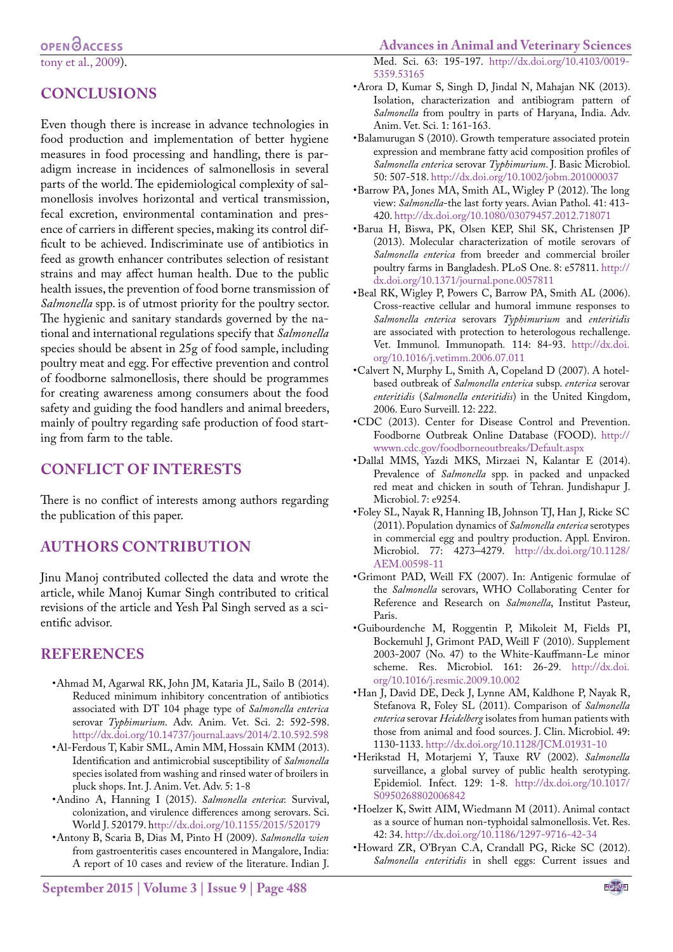## **CONCLUSIONS**

Even though there is increase in advance technologies in food production and implementation of better hygiene measures in food processing and handling, there is paradigm increase in incidences of salmonellosis in several parts of the world. The epidemiological complexity of salmonellosis involves horizontal and vertical transmission, fecal excretion, environmental contamination and presence of carriers in different species, making its control difficult to be achieved. Indiscriminate use of antibiotics in feed as growth enhancer contributes selection of resistant strains and may affect human health. Due to the public health issues, the prevention of food borne transmission of *Salmonella* spp. is of utmost priority for the poultry sector. The hygienic and sanitary standards governed by the national and international regulations specify that *Salmonella* species should be absent in 25g of food sample, including poultry meat and egg. For effective prevention and control of foodborne salmonellosis, there should be programmes for creating awareness among consumers about the food safety and guiding the food handlers and animal breeders, mainly of poultry regarding safe production of food starting from farm to the table.

#### **CONFLICT OF INTERESTS**

There is no conflict of interests among authors regarding the publication of this paper.

#### **AUTHORS CONTRIBUTION**

Jinu Manoj contributed collected the data and wrote the article, while Manoj Kumar Singh contributed to critical revisions of the article and Yesh Pal Singh served as a scientific advisor.

#### **REFERENCES**

- <span id="page-3-16"></span>•Ahmad M, Agarwal RK, John JM, Kataria JL, Sailo B (2014). Reduced minimum inhibitory concentration of antibiotics associated with DT 104 phage type of *Salmonella enterica*  serovar *Typhimurium*. Adv. Anim. Vet. Sci. 2: 592-598. <http://dx.doi.org/10.14737/journal.aavs/2014/2.10.592.598>
- <span id="page-3-13"></span>•Al-Ferdous T, Kabir SML, Amin MM, Hossain KMM (2013). Identification and antimicrobial susceptibility of *Salmonella*  species isolated from washing and rinsed water of broilers in pluck shops. Int. J. Anim. Vet. Adv. 5: 1-8
- <span id="page-3-10"></span>•Andino A, Hanning I (2015). *Salmonella enterica*: Survival, colonization, and virulence differences among serovars. Sci. World J. 520179. [http://dx.doi.org/10.1155/2015/520179](ttp://dx.doi.org/10.1155/2015/520179)
- <span id="page-3-17"></span>•Antony B, Scaria B, Dias M, Pinto H (2009). *Salmonella wien* from gastroenteritis cases encountered in Mangalore, India: A report of 10 cases and review of the literature. Indian J.

Med. Sci. 63: 195-197. [http://dx.doi.org/10.4103/0019-](http://dx.doi.org/10.4103/0019-5359.53165) [5359.53165](http://dx.doi.org/10.4103/0019-5359.53165)

- <span id="page-3-15"></span>•Arora D, Kumar S, Singh D, Jindal N, Mahajan NK (2013). Isolation, characterization and antibiogram pattern of *Salmonella* from poultry in parts of Haryana, India. Adv. Anim. Vet. Sci. 1: 161-163.
- <span id="page-3-7"></span>•Balamurugan S (2010). Growth temperature associated protein expression and membrane fatty acid composition profiles of *Salmonella enterica* serovar *Typhimurium*. J. Basic Microbiol. 50: 507-518.<http://dx.doi.org/10.1002/jobm.201000037>
- <span id="page-3-5"></span>•Barrow PA, Jones MA, Smith AL, Wigley P (2012). The long view: *Salmonella*-the last forty years. Avian Pathol. 41: 413- 420. <http://dx.doi.org/10.1080/03079457.2012.718071>
- <span id="page-3-6"></span>•Barua H, Biswa, PK, Olsen KEP, Shil SK, Christensen JP (2013). Molecular characterization of motile serovars of *Salmonella enterica* from breeder and commercial broiler poultry farms in Bangladesh. PLoS One. 8: e57811. [http://](http://dx.doi.org/10.1371/journal.pone.0057811) [dx.doi.org/10.1371/journal.pone.0057811](http://dx.doi.org/10.1371/journal.pone.0057811)
- <span id="page-3-8"></span>•Beal RK, Wigley P, Powers C, Barrow PA, Smith AL (2006). Cross-reactive cellular and humoral immune responses to *Salmonella enterica* serovars *Typhimurium* and *enteritidis* are associated with protection to heterologous rechallenge. Vet. Immunol. Immunopath*.* 114: 84-93. [http://dx.doi.](http://dx.doi.org/10.1016/j.vetimm.2006.07.011) [org/10.1016/j.vetimm.2006.07.011](http://dx.doi.org/10.1016/j.vetimm.2006.07.011)
- <span id="page-3-11"></span>•Calvert N, Murphy L, Smith A, Copeland D (2007). A hotelbased outbreak of *Salmonella enterica* subsp. *enterica* serovar *enteritidis* (*Salmonella enteritidis*) in the United Kingdom, 2006. Euro Surveill. 12: 222.
- <span id="page-3-3"></span>•CDC (2013). Center for Disease Control and Prevention. Foodborne Outbreak Online Database (FOOD). [http://](http://wwwn.cdc.gov/foodborneoutbreaks/Default.aspx) [wwwn.cdc.gov/foodborneoutbreaks/Default.aspx](http://wwwn.cdc.gov/foodborneoutbreaks/Default.aspx)
- <span id="page-3-12"></span>•Dallal MMS, Yazdi MKS, Mirzaei N, Kalantar E (2014). Prevalence of *Salmonella* spp. in packed and unpacked red meat and chicken in south of Tehran. Jundishapur J. Microbiol. 7: e9254.
- <span id="page-3-2"></span>•Foley SL, Nayak R, Hanning IB, Johnson TJ, Han J, Ricke SC (2011). Population dynamics of *Salmonella enterica* serotypes in commercial egg and poultry production. Appl. Environ. Microbiol. 77: 4273–4279. [http://dx.doi.org/10.1128/](http://dx.doi.org/10.1128/AEM.00598-11) [AEM.00598-11](http://dx.doi.org/10.1128/AEM.00598-11)
- <span id="page-3-0"></span>•Grimont PAD, Weill FX (2007). In: Antigenic formulae of the *Salmonella* serovars, WHO Collaborating Center for Reference and Research on *Salmonella*, Institut Pasteur, Paris.
- <span id="page-3-1"></span>•Guibourdenche M, Roggentin P, Mikoleit M, Fields PI, Bockemuhl J, Grimont PAD, Weill F (2010). Supplement 2003-2007 (No. 47) to the White-Kauffmann-Le minor scheme. Res. Microbiol. 161: 26-29. [http://dx.doi.](http://dx.doi.org/10.1016/j.resmic.2009.10.002) [org/10.1016/j.resmic.2009.10.002](http://dx.doi.org/10.1016/j.resmic.2009.10.002)
- <span id="page-3-14"></span>•Han J, David DE, Deck J, Lynne AM, Kaldhone P, Nayak R, Stefanova R, Foley SL (2011). Comparison of *Salmonella enterica* serovar *Heidelberg* isolates from human patients with those from animal and food sources. J. Clin. Microbiol. 49: 1130-1133. <http://dx.doi.org/10.1128/JCM.01931-10>
- <span id="page-3-4"></span>•Herikstad H, Motarjemi Y, Tauxe RV (2002). *Salmonella* surveillance, a global survey of public health serotyping. Epidemiol. Infect. 129: 1-8. [http://dx.doi.org/10.1017/](http://dx.doi.org/10.1017/S0950268802006842) [S0950268802006842](http://dx.doi.org/10.1017/S0950268802006842)
- <span id="page-3-9"></span>•Hoelzer K, Switt AIM, Wiedmann M (2011). Animal contact as a source of human non-typhoidal salmonellosis. Vet. Res. 42: 34.<http://dx.doi.org/10.1186/1297-9716-42-34>
- •Howard ZR, O'Bryan C.A, Crandall PG, Ricke SC (2012). *Salmonella enteritidis* in shell eggs: Current issues and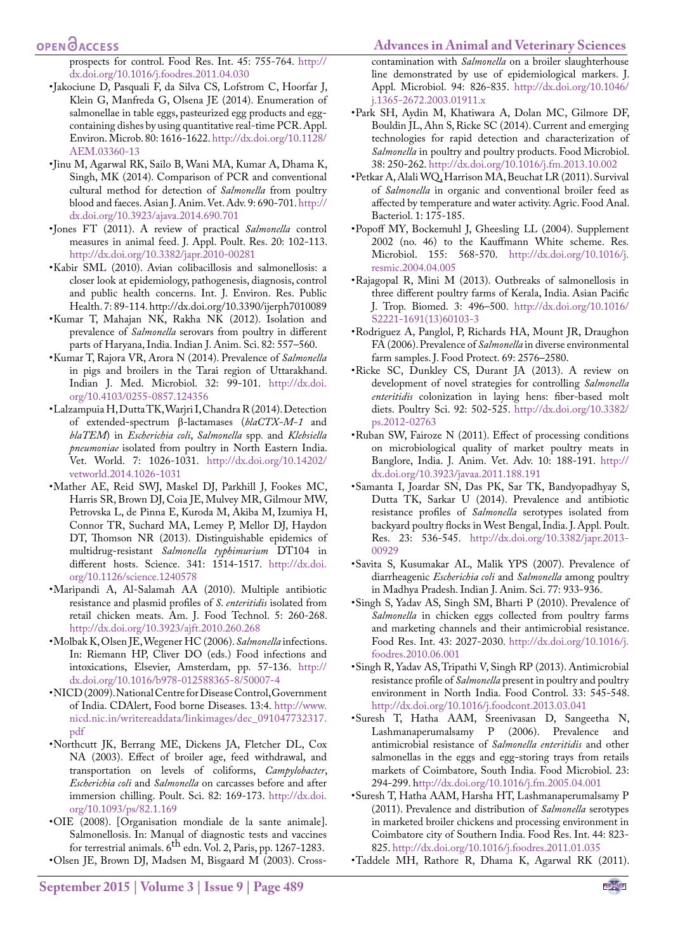#### **Advances in Animal and Veterinary Sciences**

#### **OPEN**<sub>d</sub>

prospects for control. Food Res. Int. 45: 755-764. [http://](http://dx.doi.org/10.1016/j.foodres.2011.04.030) [dx.doi.org/10.1016/j.foodres.2011.04.030](http://dx.doi.org/10.1016/j.foodres.2011.04.030)

- <span id="page-4-12"></span>•Jakociune D, Pasquali F, da Silva CS, Lofstrom C, Hoorfar J, Klein G, Manfreda G, Olsena JE (2014). Enumeration of salmonellae in table eggs, pasteurized egg products and eggcontaining dishes by using quantitative real-time PCR. Appl. Environ. Microb. 80: 1616-1622. [http://dx.doi.org/10.1128/](http://dx.doi.org/10.1128/AEM.03360-13) [AEM.03360-13](http://dx.doi.org/10.1128/AEM.03360-13)
- <span id="page-4-13"></span>•Jinu M, Agarwal RK, Sailo B, Wani MA, Kumar A, Dhama K, Singh, MK (2014). Comparison of PCR and conventional cultural method for detection of *Salmonella* from poultry blood and faeces. Asian J. Anim. Vet. Adv. 9: 690-701. [http://](http://dx.doi.org/10.3923/ajava.2014.690.701) [dx.doi.org/10.3923/ajava.2014.690.701](http://dx.doi.org/10.3923/ajava.2014.690.701)
- <span id="page-4-7"></span>•Jones FT (2011). A review of practical *Salmonella* control measures in animal feed. J. Appl. Poult. Res. 20: 102-113. <http://dx.doi.org/10.3382/japr.2010-00281>
- <span id="page-4-5"></span>•Kabir SML (2010). Avian colibacillosis and salmonellosis: a closer look at epidemiology, pathogenesis, diagnosis, control and public health concerns. Int. J. Environ. Res. Public Health. 7: 89-114. [http://dx.doi.org/10.3390/ijerph7010089](http://dx.doi.org/10.3390/ijerph7010089 )
- <span id="page-4-21"></span>•Kumar T, Mahajan NK, Rakha NK (2012). Isolation and prevalence of *Salmonella* serovars from poultry in different parts of Haryana, India. Indian J. Anim. Sci. 82: 557–560.
- <span id="page-4-25"></span>•Kumar T, Rajora VR, Arora N (2014). Prevalence of *Salmonella*  in pigs and broilers in the Tarai region of Uttarakhand. Indian J. Med. Microbiol. 32: 99-101. [http://dx.doi.](http://dx.doi.org/10.4103/0255-0857.124356) [org/10.4103/0255-0857.124356](http://dx.doi.org/10.4103/0255-0857.124356)
- <span id="page-4-26"></span>•Lalzampuia H, Dutta TK, Warjri I, Chandra R (2014). Detection of extended-spectrum β-lactamases (*blaCTX-M-1* and *blaTEM*) in *Escherichia coli*, *Salmonella* spp*.* and *Klebsiella pneumoniae* isolated from poultry in North Eastern India. Vet. World. 7: 1026-1031. [http://dx.doi.org/10.14202/](http://dx.doi.org/10.14202/vetworld.2014.1026-1031) [vetworld.2014.1026-1031](http://dx.doi.org/10.14202/vetworld.2014.1026-1031)
- <span id="page-4-10"></span>•Mather AE, Reid SWJ, Maskel DJ, Parkhill J, Fookes MC, Harris SR, Brown DJ, Coia JE, Mulvey MR, Gilmour MW, Petrovska L, de Pinna E, Kuroda M, Akiba M, Izumiya H, Connor TR, Suchard MA, Lemey P, Mellor DJ, Haydon DT, Thomson NR (2013). Distinguishable epidemics of multidrug-resistant *Salmonella typhimurium* DT104 in different hosts. Science. 341: 1514-1517. [http://dx.doi.](http://dx.doi.org/10.1126/science.1240578) [org/10.1126/science.1240578](http://dx.doi.org/10.1126/science.1240578)
- <span id="page-4-18"></span>•Maripandi A, Al-Salamah AA (2010). Multiple antibiotic resistance and plasmid profiles of *S*. *enteritidis* isolated from retail chicken meats. Am. J. Food Technol. 5: 260-268. <http://dx.doi.org/10.3923/ajft.2010.260.268>
- <span id="page-4-0"></span>•Molbak K, Olsen JE, Wegener HC (2006). *Salmonella* infections. In: Riemann HP, Cliver DO (eds.) Food infections and intoxications, Elsevier, Amsterdam, pp. 57-136. [http://](http://dx.doi.org/10.1016/b978-012588365-8/50007-4) [dx.doi.org/10.1016/b978-012588365-8/50007-4](http://dx.doi.org/10.1016/b978-012588365-8/50007-4)
- <span id="page-4-27"></span>•NICD (2009). National Centre for Disease Control, Government of India. CDAlert, Food borne Diseases. 13:4. [http://www.](http://www.nicd.nic.in/writereaddata/linkimages/dec_091047732317.pdf) [nicd.nic.in/writereaddata/linkimages/dec\\_091047732317.](http://www.nicd.nic.in/writereaddata/linkimages/dec_091047732317.pdf) [pdf](http://www.nicd.nic.in/writereaddata/linkimages/dec_091047732317.pdf)
- <span id="page-4-4"></span>•Northcutt JK, Berrang ME, Dickens JA, Fletcher DL, Cox NA (2003). Effect of broiler age, feed withdrawal, and transportation on levels of coliforms, *Campylobacter*, *Escherichia coli* and *Salmonella* on carcasses before and after immersion chilling. Poult. Sci. 82: 169-173. [http://dx.doi.](http://dx.doi.org/10.1093/ps/82.1.169) [org/10.1093/ps/82.1.169](http://dx.doi.org/10.1093/ps/82.1.169)
- <span id="page-4-3"></span>•OIE (2008). [Organisation mondiale de la sante animale]. Salmonellosis. In: Manual of diagnostic tests and vaccines for terrestrial animals.  $6^{\text{th}}$  edn. Vol. 2, Paris, pp. 1267-1283.
- <span id="page-4-11"></span>•Olsen JE, Brown DJ, Madsen M, Bisgaard M (2003). Cross-

contamination with *Salmonella* on a broiler slaughterhouse line demonstrated by use of epidemiological markers. J. Appl. Microbiol. 94: 826-835. [http://dx.doi.org/10.1046/](http://dx.doi.org/10.1046/j.1365-2672.2003.01911.x) [j.1365-2672.2003.01911.x](http://dx.doi.org/10.1046/j.1365-2672.2003.01911.x)

- <span id="page-4-2"></span>•Park SH, Aydin M, Khatiwara A, Dolan MC, Gilmore DF, Bouldin JL, Ahn S, Ricke SC (2014). Current and emerging technologies for rapid detection and characterization of *Salmonella* in poultry and poultry products. Food Microbiol. 38: 250-262.<http://dx.doi.org/10.1016/j.fm.2013.10.002>
- <span id="page-4-6"></span>•Petkar A, Alali WQ, Harrison MA, Beuchat LR (2011). Survival of *Salmonella* in organic and conventional broiler feed as affected by temperature and water activity. Agric. Food Anal. Bacteriol. 1: 175-185.
- <span id="page-4-1"></span>•Popoff MY, Bockemuhl J, Gheesling LL (2004). Supplement 2002 (no. 46) to the Kauffmann White scheme. Res*.*  Microbiol. 155: 568-570. [http://dx.doi.org/10.1016/j.](http://dx.doi.org/10.1016/j.resmic.2004.04.005) [resmic.2004.04.005](http://dx.doi.org/10.1016/j.resmic.2004.04.005)
- <span id="page-4-23"></span>•Rajagopal R, Mini M (2013). Outbreaks of salmonellosis in three different poultry farms of Kerala, India. Asian Pacific J. Trop. Biomed. 3: 496–500. [http://dx.doi.org/10.1016/](http://dx.doi.org/10.1016/S2221-1691(13)60103-3) [S2221-1691\(13\)60103-3](http://dx.doi.org/10.1016/S2221-1691(13)60103-3)
- <span id="page-4-9"></span>•Rodriguez A, Panglol, P, Richards HA, Mount JR, Draughon FA (2006). Prevalence of *Salmonella* in diverse environmental farm samples. J. Food Protect*.* 69: 2576–2580.
- <span id="page-4-8"></span>•Ricke SC, Dunkley CS, Durant JA (2013). A review on development of novel strategies for controlling *Salmonella enteritidis* colonization in laying hens: fiber-based molt diets. Poultry Sci. 92: 502-525. [http://dx.doi.org/10.3382/](http://dx.doi.org/10.3382/ps.2012-02763) [ps.2012-02763](http://dx.doi.org/10.3382/ps.2012-02763)
- <span id="page-4-17"></span>•Ruban SW, Fairoze N (2011). Effect of processing conditions on microbiological quality of market poultry meats in Banglore, India. J. Anim. Vet. Adv. 10: 188-191. [http://](http://dx.doi.org/10.3923/javaa.2011.188.191) [dx.doi.org/10.3923/javaa.2011.188.191](http://dx.doi.org/10.3923/javaa.2011.188.191)
- <span id="page-4-24"></span>•Samanta I, Joardar SN, Das PK, Sar TK, Bandyopadhyay S, Dutta TK, Sarkar U (2014). Prevalence and antibiotic resistance profiles of *Salmonella* serotypes isolated from backyard poultry flocks in West Bengal, India. J. Appl. Poult. Res. 23: 536-545. [http://dx.doi.org/10.3382/japr.2013-](http://dx.doi.org/10.3382/japr.2013-00929) [00929](http://dx.doi.org/10.3382/japr.2013-00929)
- <span id="page-4-15"></span>•Savita S, Kusumakar AL, Malik YPS (2007). Prevalence of diarrheagenic *Escherichia coli* and *Salmonella* among poultry in Madhya Pradesh. Indian J. Anim. Sci. 77: 933-936.
- <span id="page-4-16"></span>•Singh S, Yadav AS, Singh SM, Bharti P (2010). Prevalence of *Salmonella* in chicken eggs collected from poultry farms and marketing channels and their antimicrobial resistance. Food Res. Int. 43: 2027-2030. [http://dx.doi.org/10.1016/j.](http://dx.doi.org/10.1016/j.foodres.2010.06.001) [foodres.2010.06.001](http://dx.doi.org/10.1016/j.foodres.2010.06.001)
- <span id="page-4-22"></span>•Singh R, Yadav AS, Tripathi V, Singh RP (2013). Antimicrobial resistance profile of *Salmonella* present in poultry and poultry environment in North India. Food Control. 33: 545-548. <http://dx.doi.org/10.1016/j.foodcont.2013.03.041>
- <span id="page-4-14"></span>•Suresh T, Hatha AAM, Sreenivasan D, Sangeetha N, (2006). Prevalence and antimicrobial resistance of *Salmonella enteritidis* and other salmonellas in the eggs and egg-storing trays from retails markets of Coimbatore, South India. Food Microbiol. 23: 294-299.<http://dx.doi.org/10.1016/j.fm.2005.04.001>
- <span id="page-4-20"></span>•Suresh T, Hatha AAM, Harsha HT, Lashmanaperumalsamy P (2011). Prevalence and distribution of *Salmonella* serotypes in marketed broiler chickens and processing environment in Coimbatore city of Southern India. Food Res. Int. 44: 823- 825.<http://dx.doi.org/10.1016/j.foodres.2011.01.035>
- <span id="page-4-19"></span>•Taddele MH, Rathore R, Dhama K, Agarwal RK (2011).